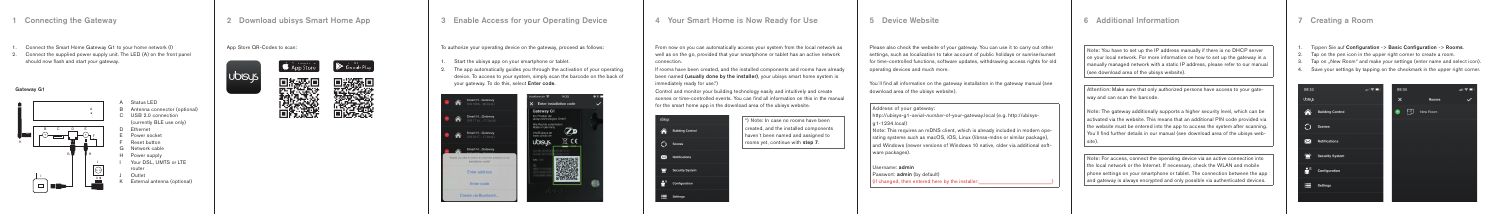### Gateway G1



- A Status LED B C USB 2.0 connection Antenna connector (optional) (currently BLE use only)
- D Ethernet
- E Power socket
- F Reset button
- G Network cable
- H Power supply I
- Your DSL, UMTS or LTE router
- J Outlet
- K External antenna (optional)

Note: You have to set up the IP address manually if there is no DHCP server  $\parallel$  on vour local network. For more information on how to set up the gateway in a manually managed network with a static IP address, please refer to our manual (see download area of the ubisys website).

Attention: Make sure that only authorized persons have access to your gateway and can scan the barcode.

Note: The gateway additionally supports a higher security level, which can be activated via the website. This means that an additional PIN code provided via I the website must be entered into the app to access the system after scanning. You´ll find further details in our manual (see download area of the ubisys website).

Username: admin Passwort: **admin** (by default)  $\Box$  (if changed, then entered here by the installer: Note: For access, connect the operating device via an active connection into the local network or the Internet. If necessary, check the WLAN and mobile phone settings on your smartphone or tablet. The connection between the app and gateway is always encrypted and only possible via authenticated devices.

6 Additional Information

Please also check the website of your gateway. You can use it to carry out other settings, such as localization to take account of public holidays or sunrise/sunset for time-controlled functions, software updates, withdrawing access rights for old operating devices and much more.

You´ll find all information on the gateway installation in the gateway manual (see download area of the ubisys website).

Address of your gateway:

\*) Note: In case no rooms have been created, and the installed components haven´t been named and assigned to rooms yet, continue with step 7.

http://ubisys-g1-*serial-number*-of-your-gateway.local (e.g. http://ubisysg1-1234.local)

Note: This requires an mDNS client, which is already included in modern operating systems such as macOS, iOS, Linux (libnss-mdns or similar package), and Windows (newer versions of Windows 10 native, older via additional software packages).

5 Device Website

From now on you can automatically access your system from the local network as well as on the go, provided that your smartphone or tablet has an active network connection.

If rooms have been created, and the installed components and rooms have already been named (usually done by the installer), your ubisys smart home system is immediately ready for use.\*)

Control and monitor your building technology easily and intuitively and create scenes or time-controlled events. You can find all information on this in the manual for the smart home app in the download area of the ubisys website.

| ubisys |                         |
|--------|-------------------------|
|        | <b>Building Control</b> |
|        | <b>Scenes</b>           |
| ✕      | <b>Notifications</b>    |
|        | <b>Security System</b>  |
| ÅΪ     | Configuration           |
|        | <b>Settings</b>         |

# 4 Your Smart Home is Now Ready for Use

To authorize your operating device on the gateway, proceed as follows:

- 1. Start the ubisys app on your smartphone or tablet.
- 2. The app automatically quides you through the activation of your operating device. To access to your system, simply scan the barcode on the back of your gateway. To do this, select Enter code.



# 3 Enable Access for your Operating Device

2 Download ubisys Smart Home App

## App Store QR-Codes to scan:

**UDISY** 







- 1. Connect the Smart Home Gateway G1 to your home network (I)
- 2. Connect the supplied power supply unit. The LED (A) on the front panel should now flash and start your gateway.

## 1 Connecting the Gateway

### 1. Tippen Sie auf Configuration -> Basic Configuration -> Rooms.

Tap on the pen icon in the upper right corner to create a room.

Tap on "New Room" and make your settings (enter name and select icon). Save your settings by tapping on the checkmark in the upper right corner.

|                 | 山々国 | OS |
|-----------------|-----|----|
|                 |     | X  |
| uilding Control |     | ٠  |
| cenes           |     |    |
| otifications    |     |    |
| ecurity System  |     |    |
| onfiguration    |     |    |
| ettings         |     |    |
|                 |     |    |



# 7 Creating a Room